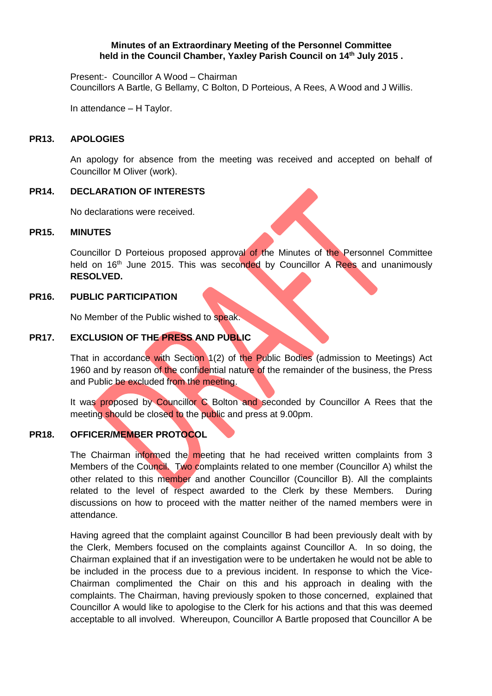### **Minutes of an Extraordinary Meeting of the Personnel Committee held in the Council Chamber, Yaxley Parish Council on 14 th July 2015 .**

Present:- Councillor A Wood – Chairman Councillors A Bartle, G Bellamy, C Bolton, D Porteious, A Rees, A Wood and J Willis.

In attendance – H Taylor.

#### **PR13. APOLOGIES**

An apology for absence from the meeting was received and accepted on behalf of Councillor M Oliver (work).

#### **PR14. DECLARATION OF INTERESTS**

No declarations were received.

#### **PR15. MINUTES**

Councillor D Porteious proposed approval of the Minutes of the Personnel Committee held on 16<sup>th</sup> June 2015. This was seconded by Councillor A Rees and unanimously **RESOLVED.**

#### **PR16. PUBLIC PARTICIPATION**

No Member of the Public wished to speak.

# **PR17. EXCLUSION OF THE PRESS AND PUBLIC**

That in accordance with Section 1(2) of the Public Bodies (admission to Meetings) Act 1960 and by reason of the confidential nature of the remainder of the business, the Press and Public be excluded from the meeting.

It was proposed by Councillor C Bolton and seconded by Councillor A Rees that the meeting should be closed to the public and press at 9.00pm.

# **PR18. OFFICER/MEMBER PROTOCOL**

The Chairman informed the meeting that he had received written complaints from 3 Members of the Council. Two complaints related to one member (Councillor A) whilst the other related to this member and another Councillor (Councillor B). All the complaints related to the level of respect awarded to the Clerk by these Members. During discussions on how to proceed with the matter neither of the named members were in attendance.

Having agreed that the complaint against Councillor B had been previously dealt with by the Clerk, Members focused on the complaints against Councillor A. In so doing, the Chairman explained that if an investigation were to be undertaken he would not be able to be included in the process due to a previous incident. In response to which the Vice-Chairman complimented the Chair on this and his approach in dealing with the complaints. The Chairman, having previously spoken to those concerned, explained that Councillor A would like to apologise to the Clerk for his actions and that this was deemed acceptable to all involved. Whereupon, Councillor A Bartle proposed that Councillor A be